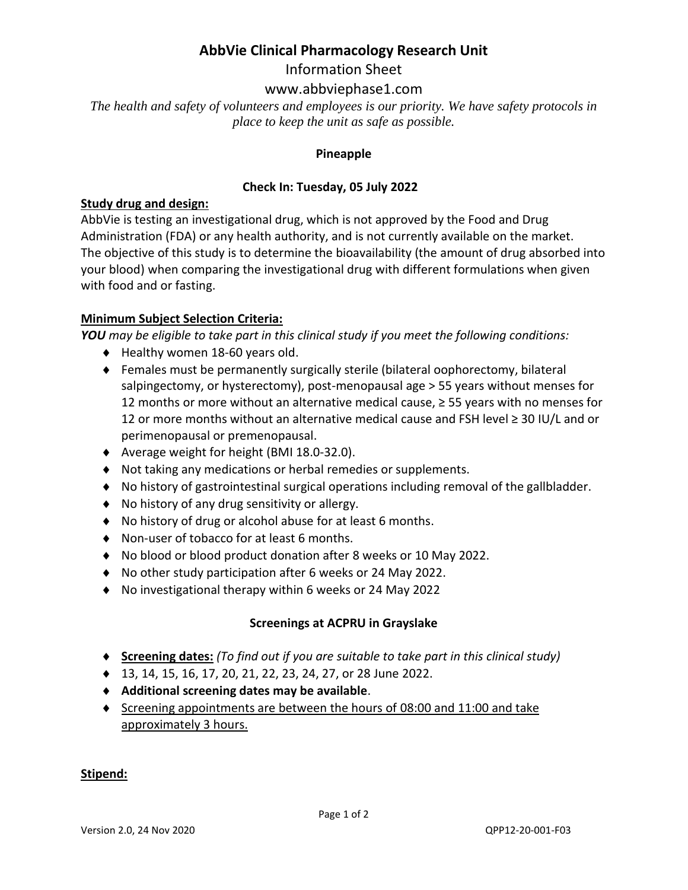## **AbbVie Clinical Pharmacology Research Unit**

Information Sheet

### www.abbviephase1.com

*The health and safety of volunteers and employees is our priority. We have safety protocols in place to keep the unit as safe as possible.*

#### **Pineapple**

#### **Check In: Tuesday, 05 July 2022**

#### **Study drug and design:**

AbbVie is testing an investigational drug, which is not approved by the Food and Drug Administration (FDA) or any health authority, and is not currently available on the market. The objective of this study is to determine the bioavailability (the amount of drug absorbed into your blood) when comparing the investigational drug with different formulations when given with food and or fasting.

#### **Minimum Subject Selection Criteria:**

*YOU may be eligible to take part in this clinical study if you meet the following conditions:* 

- ◆ Healthy women 18-60 years old.
- Females must be permanently surgically sterile (bilateral oophorectomy, bilateral salpingectomy, or hysterectomy), post-menopausal age > 55 years without menses for 12 months or more without an alternative medical cause, ≥ 55 years with no menses for 12 or more months without an alternative medical cause and FSH level ≥ 30 IU/L and or perimenopausal or premenopausal.
- Average weight for height (BMI 18.0-32.0).
- Not taking any medications or herbal remedies or supplements.
- No history of gastrointestinal surgical operations including removal of the gallbladder.
- No history of any drug sensitivity or allergy.
- No history of drug or alcohol abuse for at least 6 months.
- ◆ Non-user of tobacco for at least 6 months.
- No blood or blood product donation after 8 weeks or 10 May 2022.
- No other study participation after 6 weeks or 24 May 2022.
- No investigational therapy within 6 weeks or 24 May 2022

#### **Screenings at ACPRU in Grayslake**

- **Screening dates:** *(To find out if you are suitable to take part in this clinical study)*
- ◆ 13, 14, 15, 16, 17, 20, 21, 22, 23, 24, 27, or 28 June 2022.
- **Additional screening dates may be available**.
- Screening appointments are between the hours of 08:00 and 11:00 and take approximately 3 hours.

#### **Stipend:**